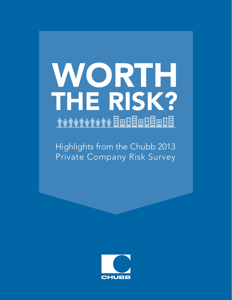# <span id="page-0-0"></span>[WORTH](#page-1-0) THE RISK? 日日田目日田目目田目 本市本市本市大学

Highlights from the Chubb 2013 Private Company Risk Survey

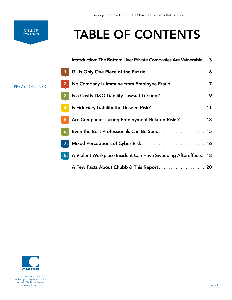[PREV «](#page-0-0) TOC [» NEXT](#page-2-0)

# TABLE OF CONTENTS

<span id="page-1-0"></span>

| Introduction: The Bottom Line: Private Companies Are Vulnerable 3 |
|-------------------------------------------------------------------|
|                                                                   |
| 2. No Company Is Immune from Employee Fraud 7                     |
|                                                                   |
|                                                                   |
| 5. Are Companies Taking Employment-Related Risks? 13              |
| 6. Even the Best Professionals Can Be Sued 15                     |
| 7. Mixed Perceptions of Cyber Risk 16                             |

8. [A Violent Workplace Incident Can Have Sweeping Aftereffects](#page-17-0). . 18 A Few Facts About Chubb & This Report . . . . . . . . . . . . . . . . . 20

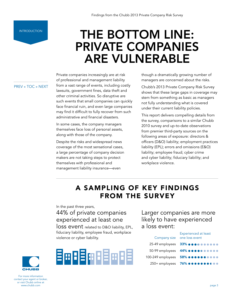# <span id="page-2-0"></span>THE BOTTOM LINE: PRIVATE COMPANIES ARE VULNERABLE

### [PREV « TOC](#page-1-0) [» NEXT](#page-5-0)

Private companies increasingly are at risk of professional and management liability from a vast range of events, including costly lawsuits, government fines, data theft and other criminal activities. So disruptive are such events that small companies can quickly face financial ruin, and even large companies may find it difficult to fully recover from such administrative and financial disasters.

In some cases, the company managers themselves face loss of personal assets, along with those of the company.

Despite the risks and widespread news coverage of the most sensational cases, a large percentage of company decision makers are not taking steps to protect themselves with professional and management liability insurance—even

though a dramatically growing number of managers are concerned about the risks.

Chubb's 2013 Private Company Risk Survey shows that these large gaps in coverage may stem from something as basic as managers not fully understanding what is covered under their current liability policies.

This report delivers compelling details from the survey, comparisons to a similar Chubb 2010 survey and up-to-date observations from premier third-party sources on the following areas of exposure: directors & officers (D&O) liability; employment practices liability (EPL); errors and omissions (E&O) liability; employee fraud; cyber crime and cyber liability; fiduciary liability; and workplace violence.

# A SAMPLING OF KEY FINDINGS FROM THE SURVEY

### In the past three years,

44% of private companies experienced at least one

loss event related to D&O liability, EPL, fiduciary liability, employee fraud, workplace violence or cyber liability.



### Larger companies are more likely to have experienced a loss event:

| <b>Experienced at least</b><br>Company size one loss event                                      |
|-------------------------------------------------------------------------------------------------|
| 25-49 employees 33%                                                                             |
| 50-99 employees 44% $\bullet \bullet \bullet \bullet \bullet \bullet \bullet \bullet \bullet$   |
| 100-249 employees 58% $\bullet \bullet \bullet \bullet \bullet \bullet \bullet \bullet \bullet$ |
|                                                                                                 |
|                                                                                                 |

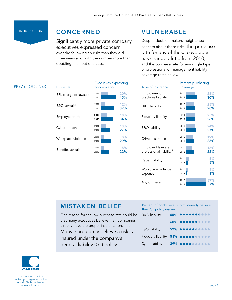### INTRODUCTION

### **CONCERNED**

Significantly more private company executives expressed concern over the following six risks than they did three years ago, with the number more than doubling in all but one case.

## VULNERABLE

Despite decision makers' heightened concern about these risks, the purchase rate for any of these coverages has changed little from 2010, and the purchase rate for any single type of professional or management liability coverage remains low.

### [PREV « TOC](#page-1-0) [» NEXT](#page-5-0)

| <b>Exposure</b>          | <b>Executives expressing</b><br>concern about |            |
|--------------------------|-----------------------------------------------|------------|
| EPL charge or lawsuit    | 2010<br>2013                                  | 20%<br>45% |
| E&O lawsuit <sup>1</sup> | 2010<br>2013                                  | 12%<br>37% |
| Employee theft           | 2010<br>2013                                  | 18%<br>34% |
| Cyber breach             | 2010<br>2013                                  | 13%<br>27% |
| Workplace violence       | 2010<br>2013                                  | 8%<br>29%  |
| Benefits lawsuit         | 2010<br>2013                                  | 8%<br>22%  |



## MISTAKEN BELIEF

One reason for the low purchase rate could be that many executives believe their companies already have the proper insurance protection. Many inaccurately believe a risk is insured under the company's general liability (GL) policy.

### Percent of nonbuyers who mistakenly believe their GL policy insures:

| D&O liability                              | 65% <b></b> |
|--------------------------------------------|-------------|
| EPL                                        | 60%         |
| E&O liability <sup>1</sup>                 | 52% <b></b> |
| Fiduciary liability 51% <b>OCOOOOOOOOO</b> |             |
| Cyber liability                            | 39%         |

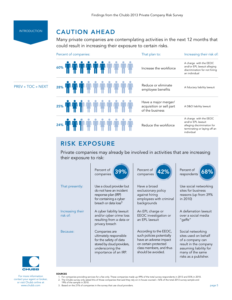### **INTRODUCTION**

[PREV « TOC](#page-1-0) [» NEXT](#page-5-0)

### CAUTION AHEAD

Many private companies are contemplating activities in the next 12 months that could result in increasing their exposure to certain risks.

| Percent of companies:                 | That plan to:                                                       | Increasing their risk of:                                                                                                 |
|---------------------------------------|---------------------------------------------------------------------|---------------------------------------------------------------------------------------------------------------------------|
| 60% T T T T T T T T T T               | Increase the workforce                                              | A charge with the EEOC<br>and/or EPL lawsuit alleging<br>discrimination for not hiring<br>an individual                   |
| 28% <b>TURE TELEVISION AND THE UP</b> | Reduce or eliminate<br>employee benefits                            | A fiduciary liability lawsuit                                                                                             |
| 25% T <b>4 T 4 T 4 T 4 T 4 T</b>      | Have a major merger/<br>acquisition or sell part<br>of the business | A D&O liability lawsuit                                                                                                   |
| 24%                                   | Reduce the workforce                                                | A charge with the EEOC<br>and/or EPL lawsuit<br>alleging discrimination for<br>terminating or laying off an<br>individual |

### RISK EXPOSURE

Private companies may already be involved in activities that are increasing their exposure to risk:

|                              | Percent of<br>39%<br>companies                                                                                                               | Percent of<br>42%<br>companies                                                                                                                         | Percent of<br>68%<br>respondents                                                                                                                              |
|------------------------------|----------------------------------------------------------------------------------------------------------------------------------------------|--------------------------------------------------------------------------------------------------------------------------------------------------------|---------------------------------------------------------------------------------------------------------------------------------------------------------------|
| That presently:              | Use a cloud provider but<br>do not have an incident<br>response plan (IRP)<br>for containing a cyber<br>breach or data loss <sup>3</sup>     | Have a broad<br>exclusionary policy<br>against hiring<br>employees with criminal<br>backgrounds                                                        | Use social networking<br>sites for business<br>reasons (up from 39%<br>in 2010)                                                                               |
| Increasing their<br>risk of: | A cyber liability lawsuit<br>and/or cyber crime loss<br>resulting from a data or<br>privacy breach                                           | An EPL charge or<br>EEOC investigation or<br>an EPL lawsuit                                                                                            | A defamation lawsuit<br>over a social media<br>"gaffe"                                                                                                        |
| Because:                     | Companies are<br>ultimately responsible<br>for the safety of data<br>stored by cloud providers,<br>underscoring the<br>importance of an IRP. | According to the EEOC,<br>such policies potentially<br>have an adverse impact<br>on certain protected<br>class members, and thus<br>should be avoided. | Social networking<br>sites used on behalf<br>of a company can<br>result in the company<br>assuming liability for<br>many of the same<br>risks as a publisher. |



For more information

SOURCES

- 1. For companies providing services for a fee only. These companies made up 49% of the total survey respondents in 2013 and 55% in 2010. 2. The Chubb survey only asked this of those companies that said they rely on in-house counsel—16% of the total 2013 survey sample and 19% of the sample in 2010.
- contact your agent or broker, or visit Chubb online at www.chubb.com
- 3. Based on the 21% of companies in the survey that use cloud providers.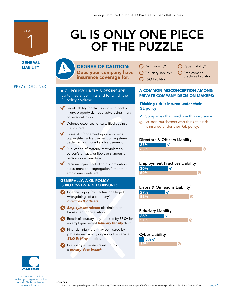# **GL IS ONLY ONE PIECE SURANCE ON THE PUZZLE**

**GENERAL** LIABILITY

<span id="page-5-0"></span>**CHAPTER** 

1

### [PREV «](#page-2-0) [TOC](#page-1-0) [» NEXT](#page-6-0)



### A GL POLICY LIKELY *DOES* INSURE

(up to insurance limits and for which the GL policy applies):

- $\blacktriangleright$  Legal liability for claims involving bodily injury, property damage, advertising injury or personal injury.
- Defense expenses for suits filed against the insured.
- Cases of infringement upon another's copyrighted advertisement or registered trademark in insured's advertisement.
- Publication of material that violates a person's privacy, or libels or slanders a person or organization.

 $\blacktriangledown$  Personal injury, including discrimination, harassment and segregation (other than employment-related).

### GENERALLY, A GL POLICY IS *NOT INTENDED* TO INSURE:

- Financial injury from actual or alleged wrongdoings of a company's *directors & officers.*
- **Employment-related** discrimination, harassment or retaliation.
- Breach of fiduciary duty imposed by ERISA for an employee benefit *fiduciary liability* claim.
- **K** Financial injury that may be insured by professional liability or product or service *E&O liability* policies.
- **K** First-party expenses resulting from a *privacy data breach.*

broker, or visit Chubb online at

**SOURCES** 

### ◯ D&O liability?

Fiduciary liability?

Cyber liability?

**O** Employment<br>practices liability?

E&O liability?

### A COMMON MISCONCEPTION AMONG PRIVATE-COMPANY DECISION MAKERS:

### Thinking risk is insured under their GL policy

- $\checkmark$  Companies that purchase this insurance
- **⊘** vs. non-purchasers who think this risk is insured under their GL policy.





| <b>Employment Practices Liability</b> |   |          |
|---------------------------------------|---|----------|
| 30%                                   | Ñ |          |
| 60%                                   |   | $\Omega$ |

## Errors & Omissions Liability<sup>1</sup>



### Fiduciary Liability 26%  $\blacktriangledown$ 51%  $\Omega$



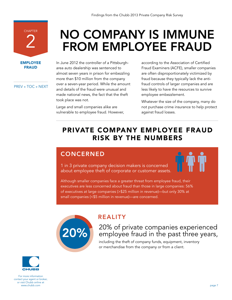# NO COMPANY IS IMMUNE FROM EMPLOYEE FRAUD

In June 2012 the controller of a Pittsburgharea auto dealership was sentenced to almost seven years in prison for embezzling more than \$10 million from the company over a seven-year period. While the amount and details of the fraud were unusual and made national news, the fact that the theft took place was not.

Large and small companies alike are vulnerable to employee fraud. However, according to the Association of Certified Fraud Examiners (ACFE), smaller companies are often disproportionately victimized by fraud because they typically lack the antifraud controls of larger companies and are less likely to have the resources to survive employee embezzlement.

Whatever the size of the company, many do not purchase crime insurance to help protect against fraud losses.

# PRIVATE COMPANY EMPLOYEE FRAUD RISK BY THE NUMBERS

## **CONCERNED**

20%

1 in 3 private company decision makers is concerned about employee theft of corporate or customer assets.

Although smaller companies face a greater threat from employee fraud, their executives are less concerned about fraud than those in large companies: 56% of executives at large companies (>\$25 million in revenue)—but only 30% at small companies (<\$5 million in revenue)—are concerned.

## REALITY

## 20% of private companies experienced employee fraud in the past three years,

including the theft of company funds, equipment, inventory or merchandise from the company or from a client.



For more information contact your agent or broker, or visit Chubb online at www.chubb.com





<span id="page-6-0"></span>

**CHAPTER** 

[PREV «](#page-5-0) [TOC](#page-1-0) [» NEXT](#page-8-0)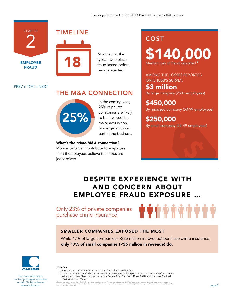### Findings from the Chubb 2013 Private Company Risk Survey

EMPLOYEE FRAUD 2

**CHAPTER** 



TIMELINE

Months that the fraud lasted before being detected.<sup>1</sup>

### [PREV «](#page-5-0) [TOC](#page-1-0) [» NEXT](#page-8-0)

### THE M&A CONNECTION



In the coming year, 25% of private companies are likely to be involved in a major acquisition or merger or to sell part of the business.

### What's the crime-M&A connection?

M&A activity can contribute to employee theft if employees believe their jobs are jeopardized.

### COST

\$140,000 Median loss of fraud reported <sup>2</sup>

AMONG THE LOSSES REPORTED ON CHUBB'S SURVEY:

\$3 million By large company (250+ employees)

\$450,000 By midsized company (50-99 employees)

### \$250,000 By small company (25-49 employees)

# DESPITE EXPERIENCE WITH AND CONCERN ABOUT EMPLOYEE FRAUD EXPOSURE …

Only 23% of private companies purchase crime insurance.



### SMALLER COMPANIES EXPOSED THE MOST

While 47% of large companies (>\$25 million in revenue) purchase crime insurance, only 17% of small companies (<\$5 million in revenue) do.



For more information contact your agent or broker, or visit Chubb online at www.chubb.com

### **SOURCES**

1. *Report to the Nations on Occupational Fraud and Abuse* (2012), ACFE.

2. The Association of Certified Fraud Examiners (ACFE) estimates the typical organization loses 5% of its revenues<br>to fraud each year. (Report to the Nations on Occupational Fraud and Abuse (2012), Association of Certified Fraud Examiners (ACFE).)

Chubb refers to the insurers of the Chubb Group of Insurance Companies. This material is being provided for informational purposes. Neither Chubb nor its employees or<br>agents shall be liable for the use of any information o agents shall be liable for the use of any information or statements made or contained herein. Actual coverage is subject to the language of the policies as issued. Chubb, Box<br>1615, Warren, NY 07061-1615.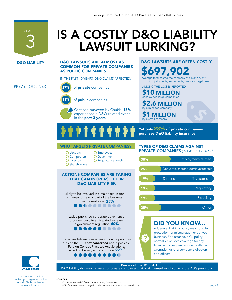<span id="page-8-0"></span>

# IS A COSTLY D&O LIABILITY LAWSUIT LURKING? Findings from the Chubb 2013 Private Company Risk Survey

### D&O LIABILITY

### D&O LAWSUITS ARE ALMOST AS COMMON FOR PRIVATE COMPANIES AS PUBLIC COMPANIES

IN THE PAST 10 YEARS, D&O CLAIMS AFFECTED: <sup>1</sup>

### [PREV «](#page-6-0) [TOC](#page-1-0) [» NEXT](#page-10-0)

For more information contact your agent or broker, or visit Chubb online at www.chubb.com

**CHUBB** 

**SOURCES** 

of private companies 27%



of public companies



### D&O LAWSUITS ARE OFTEN COSTLY

697,90 Average total cost to the company of a D&O event, including judgments, settlements, fines and legal fees.

38% Employment-related

Yet only 28% of private companies purchase D&O liability insurance.

TYPES OF D&O CLAIMS AGAINST **PRIVATE COMPANIES** (IN PAST 10 YEARS)<sup>1</sup>

25% Derivative shareholder/investor suit

19% Direct shareholder/investor suit

19% **Regulatory** Regulatory

19% **Fiduciary Fiduciary** 

25% Other

and officers.

Beware of the JOBS Act D&O liability risk may increase for private companies that avail themselves of some of the Act's provisions.

?

DID YOU KNOW... A General Liability policy may not offer protection for mismanagement of your business. For instance, a GL policy normally excludes coverage for any financial consequences due to alleged wrongdoings of a company's directors

page 9

AMONG THE LOSSES REPORTED: \$10 MILLION each by two large companies

\$2.6 MILLION by a midsized company

**1 MILLION** by a small company

### WHO TARGETS PRIVATE COMPANIES?

O Vendors **O** Competitors **O** Investors

**O** Employees

**O** Regulatory agencies

- O Shareholders
- 
- 
- 
- 
- Government
	-
- 
- 
- 

- 
- 

- 
- 
- 
- 

- 
- 

ACTIONS COMPANIES ARE TAKING THAT CAN INCREASE THEIR D&O LIABILITY RISK

Likely to be involved in a major acquisition or merger or sale of part of the business in the next year: 25%

Lack a published corporate governance program, despite anticipated increase in government regulation: 60%

. . . . . . . . .

**......** 

Executives (whose companies conduct operations outside the U.S.) not concerned about possible Foreign Corrupt Practices Act violations, including bribery and corruption: 92%

1. *2012 Directors and Officers Liability Survey*, Towers Watson. 1. 2012 Directors and Officers Liability Survey, Towers Watson.

2. 24% of the companies surveyed conduct operations outside the United States. 2. 24% of the companies surveyed conduct operations outside the United States.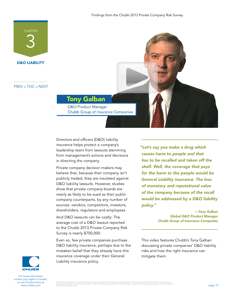

D&O LIABILITY

[PREV «](#page-6-0) [TOC](#page-1-0) [» NEXT](#page-10-0)



Directors and officers (D&O) liability insurance helps protect a company's leadership team from lawsuits stemming from management's actions and decisions in directing the company.

Private company decision makers may believe that, because their company isn't publicly traded, they are insulated against D&O liability lawsuits. However, studies show that private company boards are nearly as likely to be sued as their public company counterparts, by any number of sources: vendors, competitors, investors, shareholders, regulators and employees.

And D&O lawsuits can be costly: The average cost of a D&O lawsuit reported to the Chubb 2013 Private Company Risk Survey is nearly \$700,000.

Even so, few private companies purchase D&O liability insurance, perhaps due to the mistaken belief that they already have this insurance coverage under their General Liability insurance policy.

*"Let's say you make a drug which causes harm to people and that has to be recalled and taken off the shelf. Well, the coverage that pays for the harm to the people would be General Liability insurance. The loss of monetary and reputational value of the company because of the recall would be addressed by a D&O liability policy."* 

> *—Tony Galban Global D&O Product Manager Chubb Group of Insurance Companies*

This video features Chubb's Tony Galban discussing private companies' D&O liability risks and how the right insurance can mitigate them.

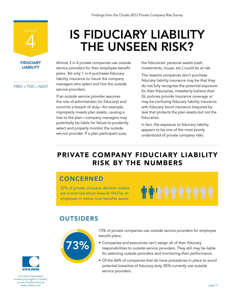# IS FIDUCIARY LIABILITY THE UNSEEN RISK?

Almost 3 in 4 private companies use outside service providers for their employee benefit plans. Yet only 1 in 4 purchases fiduciary liability insurance to insure the company managers who select and hire the outside service providers.

If an outside service provider assumes the role of administrator (or fiduciary) and commits a breach of duty—for example, improperly invests plan assets, causing a loss to the plan—company managers may potentially be liable for failure to prudently select and properly monitor the outside service provider. If a plan participant sues,

the fiduciaries' personal assets (cash, investments, house, etc.) could be at risk.

The reasons companies don't purchase fiduciary liability insurance may be that they do not fully recognize the potential exposure for their fiduciaries, mistakenly believe their GL policies provide insurance coverage or may be confusing fiduciary liability insurance with fiduciary bond insurance (required by law) that protects the plan assets but not the fiduciaries.

In fact, the exposure to fiduciary liability appears to be one of the most poorly understood of private company risks.

**TAFFATAT** 

# PRIVATE COMPANY FIDUCIARY LIABILITY RISK BY THE NUMBERS

## **CONCERNED**

22% of private company decision makers are concerned about lawsuits filed by an employee or retiree over benefits issues.

## **OUTSIDERS**

73%



- Companies and executives can't assign all of their fiduciary responsibilities to outside service providers. They still may be liable for selecting outside providers and monitoring their performance.
- Of the 46% of companies that do have procedures in place to avoid potential breaches of fiduciary duty, 85% currently use outside service providers.



For more information contact your agent or broker, or visit Chubb online at www.chubb.com



<span id="page-10-0"></span>**FIDUCIARY** 4

**LIABILITY** 

[PREV «](#page-8-0) [TOC](#page-1-0) [» NEXT](#page-12-0)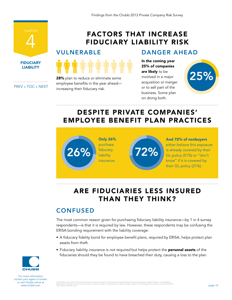

LIABILITY

[PREV «](#page-8-0) [TOC](#page-1-0) [» NEXT](#page-12-0)

# FACTORS THAT INCREASE FIDUCIARY LIABILITY RISK

28% plan to reduce or eliminate some employee benefits in the year ahead increasing their fiduciary risk.

## VULNERABLE DANGER AHEAD

In the coming year 25% of companies are likely to be involved in a major acquisition or merger or to sell part of the business. Some plan on doing both.



# DESPITE PRIVATE COMPANIES' EMPLOYEE BENEFIT PLAN PRACTICES



### And 72% of nonbuyers

either believe this exposure is already covered by their GL policy (51%) or "don't know" if it is covered by their GL policy (21%).

# ARE FIDUCIARIES LESS INSURED THAN THEY THINK?

# **CONFUSED**

The most common reason given for purchasing fiduciary liability insurance—by 1 in 4 survey respondents—is that it is required by law. However, these respondents may be confusing the ERISA bonding requirement with the liability coverage:

- A fiduciary fidelity bond for employee benefit plans, *required* by ERISA, helps protect plan assets from theft.
- Fiduciary liability insurance is *not required* but helps protect the personal assets of the fiduciaries should they be found to have breached their duty, causing a loss to the plan.

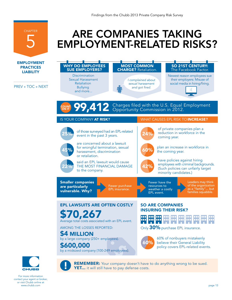<span id="page-12-0"></span>**CHAPTER** 5

EMPLOYMENT **PRACTICES** LIABILITY

[PREV «](#page-10-0) [TOC](#page-1-0) [» NEXT](#page-14-0)

# ARE COMPANIES TAKING EMPLOYMENT-RELATED RISKS? EMPLOYMENT PRACTICES LIBRARY LIBRARY







REMEMBER: Your company doesn't have to do anything wrong to be sued. YET... it will still have to pay defense costs.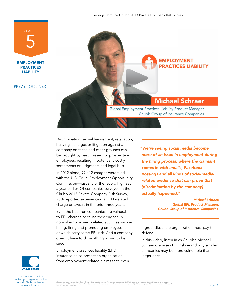Findings from the Chubb 2013 Private Company Risk Survey

LIABILITY

EMPLOYMENT **PRACTICES** 

**CHAPTER** 

5

[PREV «](#page-10-0) [TOC](#page-1-0) [» NEXT](#page-14-0)



## **Michael Schraer**

Global Employment Practices Liability Product Manager Chubb Group of Insurance Companies

Discrimination, sexual harassment, retaliation, bullying—charges or litigation against a company on these and other grounds can be brought by past, present or prospective employees, resulting in potentially costly settlements or judgments and legal bills.

In 2012 alone, 99,412 charges were filed with the U.S. Equal Employment Opportunity Commission—just shy of the record high set a year earlier. Of companies surveyed in the Chubb 2013 Private Company Risk Survey, 25% reported experiencing an EPL-related charge or lawsuit in the prior three years.

Even the best-run companies are vulnerable to EPL charges because they engage in normal employment-related activities such as hiring, firing and promoting employees, all of which carry some EPL risk. And a company doesn't have to do anything wrong to be sued.

Employment practices liability (EPL) insurance helps protect an organization from employment-related claims that, even *"We're seeing social media become more of an issue in employment during the hiring process, where the claimant comes in with emails, Facebook postings and all kinds of social-mediarelated evidence that can prove that [discrimination by the company] actually happened."* 

> *—Michael Schraer, Global EPL Product Manager, Chubb Group of Insurance Companies*

if groundless, the organization must pay to defend.

In this video, listen in as Chubb's Michael Schraer discusses EPL risks—and why smaller companies may be more vulnerable than larger ones.

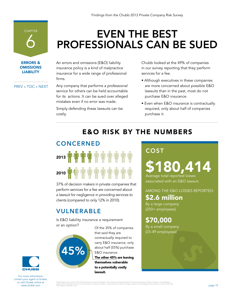E&O RISK BY THE NUMBERS

Chubb refers to the insurers of the Chubb Group of Insurance Companies. This material is being provided for informational purposes. Neither Chubb nor its employees or<br>agents shall be liable for the use of any information o Chubb refers to the insurers of the Chubb Group of Insurance Companies. This material is being provided for informational purposes. Neither Chubb nor its employees or<br>agents shall be liable for the use of any information o

### Findings from the Chubb 2013 Private Company Risk Survey

EVEN THE BEST PROFESSIONALS CAN BE SUED

An errors and omissions (E&O) liability insurance policy is a kind of malpractice insurance for a wide range of professional firms.

[PREV «](#page-12-0) [TOC](#page-1-0) [» NEXT](#page-15-0)

ERRORS & **OMISSIONS** LIABILITY

<span id="page-14-0"></span>**CHAPTER** 

6

Any company that performs a professional service for others can be held accountable for its actions. It can be sued over alleged mistakes even if no error was made.

Simply defending these lawsuits can be costly.

Chubb looked at the 49% of companies in our survey reporting that they perform services for a fee.

- Although executives in these companies are more concerned about possible E&O lawsuits than in the past, most do not purchase E&O insurance.
- Even when E&O insurance is contractually required, only about half of companies purchase it.

# $2013$ 2010 THE THE THEFT

37% of decision makers in private companies that perform services for a fee are concerned about a lawsuit for negligence in providing services to clients (compared to only 12% in 2010).

## VULNERABLE

**CONCERNED** 

Of the 35% of companies Is E&O liability insurance a requirement or an option?

> that said they are contractually required to carry E&O insurance, only about half (55%) purchase E&O insurance. The other 45% are leaving themselves vulnerable to a potentially costly

> > lawsuit.

CHUBB

For more information contact your agent or broker, or visit Chubb online at www.chubb.com





\$180,414 Average total reported losses

associated with an E&O lawsuit.

AMONG THE E&O LOSSES REPORTED:

# \$2.6 million

By a large company (250+ employees)

# \$70,000

By a small company (25-49 employees)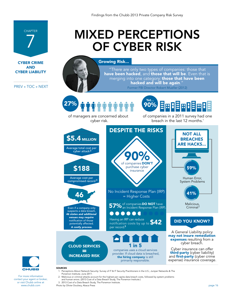<span id="page-15-0"></span>

CYBER CRIME AND CYBER LIABILITY

[PREV «](#page-14-0) [TOC](#page-1-0) [» NEXT](#page-17-0)

# MIXED PERCEPTIONS OF CYBER RISK

Growing Risk...

"There are only two types of companies: those that **have been hacked**, and those that will be. Even that is merging into one category: those that have been hacked and will be again.' Former FBI Director Robert Mueller (2012)

> Yet. 90%

# 27%

of managers are concerned about cyber risk.

of companies in a 2011 survey had one breach in the last 12 months. 1

**Ee8ee8e8** 





For more information contact your agent or broker, or visit Chubb online at www.chubb.com

- JURCES<br>1. Perceptions About Network Security: Survey of IT & IT Security Practitioners in the U.S.; Juniper Networks & The  $1.$  Perceptions About Network Security: Survey of IT  $\mathcal{S}$  is the U.S.;  $\mathcal{S}$ Ponemon Institute; June 2011.
- & The Ponemon Institute; June 2011. 2. Malicious or criminal attacks account for the highest per capita data breach costs, followed by system problems and human errors. (2013 Cost of a Data Breach Study, The Ponemon Institute.)<br>and human errors. (2013 Cost of a Data Breach Study, The Ponemon Institute.)

3. 2013 Cost of a Data Breach Study, The Ponemon Institute. 3. 2013 Cost of a Data Breach Study, The Ponemon Institute.

For more information contact your agent or broker, or visit Chubb online at Photo by Olivier Douliery, Abaca Press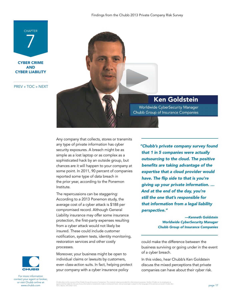CYBER CRIME AND CYBER LIABILITY

**CHAPTER** 

7

[PREV «](#page-14-0) [TOC](#page-1-0) [» NEXT](#page-17-0)



Any company that collects, stores or transmits any type of private information has cyber security exposures. A breach might be as simple as a lost laptop or as complex as a sophisticated hack by an outside group, but chances are it will happen to your company at some point. In 2011, 90 percent of companies reported some type of data breach in the prior year, according to the Ponemon Institute.

The repercussions can be staggering: According to a 2013 Ponemon study, the average cost of a cyber attack is \$188 per compromised record. Although General Liability insurance may offer some insurance protection, the first-party expenses resulting from a cyber attack would not likely be insured. These could include customer notification, system tests, identity monitoring, restoration services and other costly processes.

Moreover, your business might be open to individual claims or lawsuits by customers, even class-action suits. In fact, helping protect your company with a cyber insurance policy

*"Chubb's private company survey found that 1 in 5 companies were actually outsourcing to the cloud. The positive benefits are taking advantage of the expertise that a cloud provider would have. The flip side to that is you're giving up your private information. … And at the end of the day, you're still the one that's responsible for that information from a legal liability perspective."* 

> *—Kenneth Goldstein Worldwide CyberSecurity Manager Chubb Group of Insurance Companies*

could make the difference between the business surviving or going under in the event of a cyber breach.

In this video, hear Chubb's Ken Goldstein discuss the mixed perceptions that private companies can have about their cyber risk.

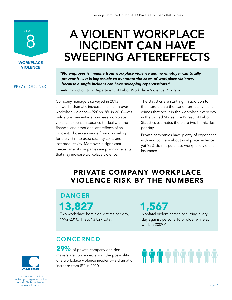<span id="page-17-0"></span>

**WORKPLACE VIOLENCE** 

### [PREV «](#page-15-0) [TOC](#page-1-0) [» NEXT](#page-19-0)

# A VIOLENT WORKPLACE INCIDENT CAN HAVE SWEEPING AFTEREFFECTS

*"No employer is immune from workplace violence and no employer can totally prevent it … It is impossible to overstate the costs of workplace violence, because a single incident can have sweeping repercussions."* 

—Introduction to a Department of Labor Workplace Violence Program

Company managers surveyed in 2013 showed a dramatic increase in concern over workplace violence—29% vs. 8% in 2010—yet only a tiny percentage purchase workplace violence expense insurance to deal with the financial and emotional aftereffects of an incident. Those can range from counseling for the victim to extra security costs and lost productivity. Moreover, a significant percentage of companies are planning events that may increase workplace violence.

The statistics are startling: In addition to the more than a thousand non-fatal violent crimes that occur in the workplace every day in the United States, the Bureau of Labor Statistics estimates there are two homicides per day.

Private companies have plenty of experience with and concern about workplace violence, yet 95% do not purchase workplace violence insurance.

# PRIVATE COMPANY WORKPLACE VIOLENCE RISK BY THE NUMBERS

DANGER 13,827

Two workplace homicide victims per day, 1992-2010. That's 13,827 total.1

1,567

Nonfatal violent crimes occurring every day against persons 16 or older while at work in 2009. 2

## **CONCERNED**

29% of private company decision makers are concerned about the possibility of a workplace violence incident—a dramatic increase from 8% in 2010.

# **TTTTTTTTT**

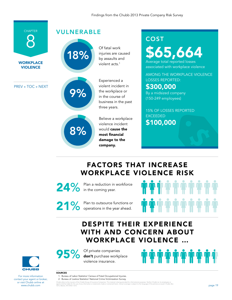**WORKPLACE** 8

**CHAPTER** 

**VIOLENCE** 

[PREV «](#page-15-0) [TOC](#page-1-0) [» NEXT](#page-19-0)

VULNERABLE

18%



Experienced a violent incident in the workplace or violent acts. 1

Of fatal work injuries are caused by assaults and

in the course of

business in the past three years. Believe a workplace violence incident would cause the most financial damage to the

COST

\$65,664 Average total reported losses associated with workplace violence

AMONG THE WORKPLACE VIOLENCE LOSSES REPORTED:

\$300,000 By a midsized company

(150-249 employees)

15% OF LOSSES REPORTED EXCEEDED \$100,000

# FACTORS THAT INCREASE WORKPLACE VIOLENCE RISK

24% Plan a reduction in workforce<br>in the coming year.

company.

21% Plan to outsource functions or operations in the year ahead.



# DESPITE THEIR EXPERIENCE WITH AND CONCERN ABOUT WORKPLACE VIOLENCE …



For more information contact your agent or broker, or visit Chubb online at www.chubb.com



95% <sup>Of private companies</sup><br>
odon't purchase workplace violence insurance.

### SOURCES

1. Bureau of Labor Statistics' Census of Fatal Occupational Injuries.

2. Bureau of Justice Statistics' National Crime Victimization Survey.

Chubb refers to the insurers of the Chubb Group of Insurance Companies. This material is being provided for informational purposes. Neither Chubb nor its employees or<br>agents shall be liable for the use of any information o